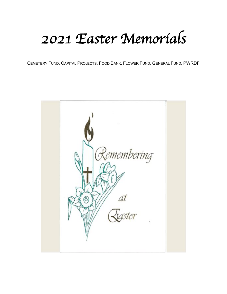## *2021 Easter Memorials*

CEMETERY FUND, CAPITAL PROJECTS, FOOD BANK, FLOWER FUND, GENERAL FUND, PWRDF

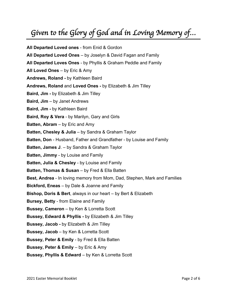## *Given to the Glory of God and in Loving Memory of…*

**All Departed Loved ones** - from Enid & Gordon **All Departed Loved Ones** – by Joselyn & David Fagan and Family **All Departed Loves Ones** - by Phyllis & Graham Peddle and Family **All Loved Ones** – by Eric & Amy **Andrews, Roland -** by Kathleen Baird **Andrews, Roland** and **Loved Ones -** by Elizabeth & Jim Tilley **Baird, Jim -** by Elizabeth & Jim Tilley **Baird, Jim** – by Janet Andrews **Baird, Jim -** by Kathleen Baird **Baird, Roy & Vera** - by Marilyn, Gary and Girls **Batten, Abram** – by Eric and Amy **Batten, Chesley & Julia** – by Sandra & Graham Taylor **Batten, Don** - Husband, Father and Grandfather - by Louise and Family **Batten, James J**. – by Sandra & Graham Taylor **Batten, Jimmy** - by Louise and Family **Batten, Julia & Chesley** - by Louise and Family **Batten, Thomas & Susan** – by Fred & Ella Batten **Best, Andrea** - In loving memory from Mom, Dad, Stephen, Mark and Families **Bickford, Eneas** – by Dale & Joanne and Family **Bishop, Doris & Bert**, always in our heart – by Bert & Elizabeth **Bursey, Betty** - from Elaine and Family **Bussey, Cameron** – by Ken & Lorretta Scott **Bussey, Edward & Phyllis -** by Elizabeth & Jim Tilley **Bussey, Jacob -** by Elizabeth & Jim Tilley **Bussey, Jacob** – by Ken & Lorretta Scott **Bussey, Peter & Emily** - by Fred & Ella Batten **Bussey, Peter & Emily** – by Eric & Amy **Bussey, Phyllis & Edward** – by Ken & Lorretta Scott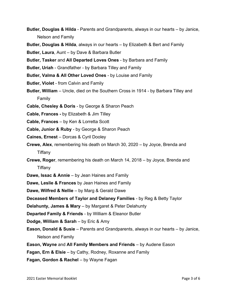- **Butler, Douglas & Hilda** Parents and Grandparents, always in our hearts by Janice, Nelson and Family
- **Butler, Douglas & Hilda**, always in our hearts by Elizabeth & Bert and Family
- **Butler, Laura**, Aunt by Dave & Barbara Butler
- **Butler, Tasker** and **All Departed Loves Ones** by Barbara and Family
- **Butler, Uriah** Grandfather by Barbara Tilley and Family
- **Butler, Valma & All Other Loved Ones** by Louise and Family
- **Butler, Violet** from Calvin and Family
- **Butler, William** Uncle, died on the Southern Cross in 1914 by Barbara Tilley and Family
- **Cable, Chesley & Doris** by George & Sharon Peach
- **Cable, Frances -** by Elizabeth & Jim Tilley
- **Cable, Frances** by Ken & Lorretta Scott
- **Cable, Junior & Ruby** by George & Sharon Peach
- **Caines, Ernest** Dorcas & Cyril Dooley
- **Crewe, Alex**, remembering his death on March 30, 2020 by Joyce, Brenda and Tiffany
- **Crewe, Roger**, remembering his death on March 14, 2018 by Joyce, Brenda and Tiffany
- **Dawe, Issac & Annie** by Jean Haines and Family
- **Dawe, Leslie & Frances** by Jean Haines and Family
- **Dawe, Wilfred & Nellie** by Marg & Gerald Dawe
- **Deceased Members of Taylor and Delaney Families** by Reg & Betty Taylor
- **Delahunty, James & Mary** by Margaret & Peter Delahunty
- **Departed Family & Friends** by William & Eleanor Butler
- **Dodge, William & Sarah** by Eric & Amy
- **Eason, Donald & Susie** Parents and Grandparents, always in our hearts by Janice, Nelson and Family
- **Eason, Wayne** and **All Family Members and Friends** by Audene Eason
- **Fagan, Ern & Elsie** by Cathy, Rodney, Roxanne and Family
- **Fagan, Gordon & Rachel** by Wayne Fagan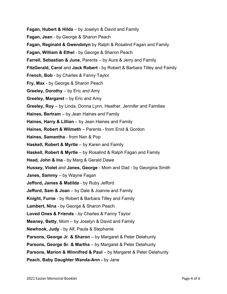- **Fagan, Hubert & Hilda** by Joselyn & David and Family
- **Fagan, Jean** by George & Sharon Peach
- **Fagan, Reginald & Gwendolyn** by Ralph & Rosalind Fagan and Family
- **Fagan, William & Ethel** by George & Sharon Peach
- **Farrell, Sebastian & June**, Parents by Aura & Jerry and Family
- **FitzGerald, Carol** and **Jack Robert** by Robert & Barbara Tilley and Family
- **French, Bob** by Charles & Fanny Taylor
- **Fry, Max** by George & Sharon Peach
- **Greeley, Dorothy** by Eric and Amy
- **Greeley, Margaret** by Eric and Amy
- **Greeley, Roy** by Linda, Donna Lynn, Heather, Jennifer and Families
- **Haines, Bertram** by Jean Haines and Family
- **Haines, Harry & Lillian** by Jean Haines and Family
- **Haines, Robert & Wilmeth** Parents from Enid & Gordon
- **Haines, Samantha** from Nan & Pop
- **Haskell, Robert & Myrtle** by Karen and Family
- **Haskell, Robert & Myrtle** by Rosalind & Ralph Fagan and Family
- **Head, John & Ina** by Marg & Gerald Dawe
- **Hussey, Violet** and **Janes, George** Mom and Dad by Georgina Smith
- **Janes, Sammy** by Wayne Fagan
- **Jefford, James & Matilda** by Ruby Jefford
- **Jefford, Sam & Joan** by Dale & Joanne and Family
- **Knight, Furne** by Robert & Barbara Tilley and Family
- **Lambert, Nina** by George & Sharon Peach
- **Loved Ones & Friends** by Charles & Fanny Taylor
- **Meaney, Betty**, Mom by Joselyn & David and Family
- **Newhook, Judy** by Alf, Paula & Stephanie
- **Parsons, George Jr. & Sharon** by Margaret & Peter Delahunty
- **Parsons, George Sr. & Martha** by Margaret & Peter Delahunty
- **Parsons, Marion & Winnifred & Paul** by Margaret & Peter Delahunty
- **Peach, Baby Daughter Wanda-Ann -** by Jane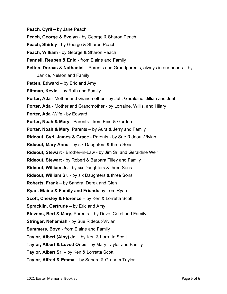- **Peach, Cyril –** by Jane Peach
- **Peach, George & Evelyn** by George & Sharon Peach
- **Peach, Shirley** by George & Sharon Peach
- **Peach, William** by George & Sharon Peach
- **Pennell, Reuben & Enid** from Elaine and Family
- **Petten, Dorcas & Nathaniel** Parents and Grandparents, always in our hearts by Janice, Nelson and Family
- **Petten, Edward** by Eric and Amy
- **Pittman, Kevin** by Ruth and Family
- **Porter, Ada** Mother and Grandmother by Jeff, Geraldine, Jillian and Joel
- **Porter, Ada** Mother and Grandmother by Lorraine, Willis, and Hilary
- **Porter, Ada** -Wife by Edward
- **Porter, Noah & Mary** Parents from Enid & Gordon
- **Porter, Noah & Mary**, Parents by Aura & Jerry and Family
- **Rideout, Cyril James & Grace** Parents by Sue Rideout-Vivian
- **Rideout, Mary Anne** by six Daughters & three Sons
- **Rideout, Stewart** Brother-in-Law by Jim Sr. and Geraldine Weir
- **Rideout, Stewart** by Robert & Barbara Tilley and Family
- **Rideout, William Jr.** by six Daughters & three Sons
- **Rideout, William Sr.** by six Daughters & three Sons
- **Roberts, Frank** by Sandra, Derek and Glen
- **Ryan, Elaine & Family and Friends** by Tom Ryan
- **Scott, Chesley & Florence** by Ken & Lorretta Scott
- **Spracklin, Gertrude** by Eric and Amy
- **Stevens, Bert & Mary,** Parents by Dave, Carol and Family
- **Stringer, Nehemiah** by Sue Rideout-Vivian
- **Summers, Boyd** from Elaine and Family
- **Taylor, Albert (Alby) Jr.** by Ken & Lorretta Scott
- **Taylor, Albert & Loved Ones** by Mary Taylor and Family
- **Taylor, Albert Sr**. by Ken & Lorretta Scott
- **Taylor, Alfred & Emma** by Sandra & Graham Taylor